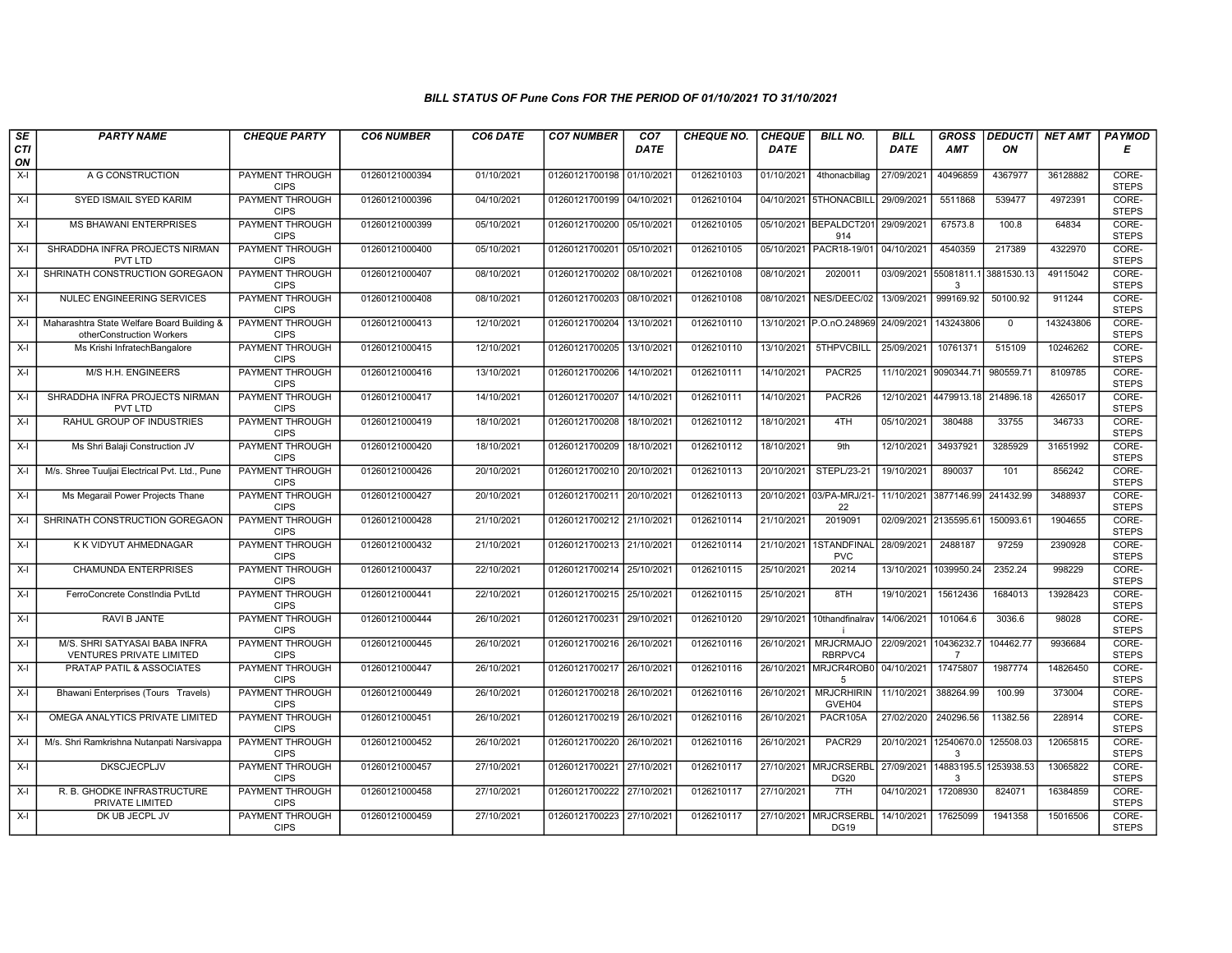## BILL STATUS OF Pune Cons FOR THE PERIOD OF 01/10/2021 TO 31/10/2021

| SE        | <b>PARTY NAME</b>                                                       | <b>CHEQUE PARTY</b>                   | <b>CO6 NUMBER</b> | CO6 DATE   | <b>CO7 NUMBER</b>         | CO <sub>7</sub> | <b>CHEQUE NO.</b> | <b>CHEQUE</b> | <b>BILL NO.</b>                      | <b>BILL</b>           | <b>GROSS</b>          | <b>DEDUCTI</b> | <b>NET AMT</b> | <b>PAYMOD</b>         |
|-----------|-------------------------------------------------------------------------|---------------------------------------|-------------------|------------|---------------------------|-----------------|-------------------|---------------|--------------------------------------|-----------------------|-----------------------|----------------|----------------|-----------------------|
| CTI<br>ON |                                                                         |                                       |                   |            |                           | <b>DATE</b>     |                   | <b>DATE</b>   |                                      | DATE                  | <b>AMT</b>            | ON             |                | Е                     |
| $X-I$     | A G CONSTRUCTION                                                        | <b>PAYMENT THROUGH</b><br><b>CIPS</b> | 01260121000394    | 01/10/2021 | 01260121700198 01/10/2021 |                 | 0126210103        | 01/10/2021    | 4thonacbillag                        | 27/09/2021            | 40496859              | 4367977        | 36128882       | CORE-<br><b>STEPS</b> |
| $X-I$     | SYED ISMAIL SYED KARIM                                                  | <b>PAYMENT THROUGH</b><br><b>CIPS</b> | 01260121000396    | 04/10/2021 | 01260121700199 04/10/2021 |                 | 0126210104        |               | 04/10/2021 5THONACBILL               | 29/09/2021            | 5511868               | 539477         | 4972391        | CORE-<br><b>STEPS</b> |
| $X-I$     | <b>MS BHAWANI ENTERPRISES</b>                                           | PAYMENT THROUGH<br><b>CIPS</b>        | 01260121000399    | 05/10/2021 | 01260121700200 05/10/2021 |                 | 0126210105        |               | 05/10/2021 BEPALDCT201<br>914        | 29/09/2021            | 67573.8               | 100.8          | 64834          | CORE-<br><b>STEPS</b> |
| $X-I$     | SHRADDHA INFRA PROJECTS NIRMAN<br>PVT LTD                               | <b>PAYMENT THROUGH</b><br><b>CIPS</b> | 01260121000400    | 05/10/2021 | 01260121700201            | 05/10/2021      | 0126210105        | 05/10/2021    | PACR18-19/01                         | 04/10/2021            | 4540359               | 217389         | 4322970        | CORE-<br><b>STEPS</b> |
| $X-I$     | SHRINATH CONSTRUCTION GOREGAON                                          | <b>PAYMENT THROUGH</b><br><b>CIPS</b> | 01260121000407    | 08/10/2021 | 01260121700202 08/10/2021 |                 | 0126210108        | 08/10/2021    | 2020011                              | 03/09/2021 55081811.1 | 3                     | 3881530.13     | 49115042       | CORE-<br><b>STEPS</b> |
| $X-I$     | NULEC ENGINEERING SERVICES                                              | <b>PAYMENT THROUGH</b><br><b>CIPS</b> | 01260121000408    | 08/10/2021 | 01260121700203 08/10/2021 |                 | 0126210108        | 08/10/2021    | NES/DEEC/02                          | 13/09/2021            | 999169.92             | 50100.92       | 911244         | CORE-<br><b>STEPS</b> |
| $X-I$     | Maharashtra State Welfare Board Building &<br>otherConstruction Workers | <b>PAYMENT THROUGH</b><br><b>CIPS</b> | 01260121000413    | 12/10/2021 | 01260121700204            | 13/10/2021      | 0126210110        |               | 13/10/2021 P.O.nO.248969             | 24/09/2021            | 143243806             | $\mathbf 0$    | 143243806      | CORE-<br><b>STEPS</b> |
| $X-I$     | Ms Krishi InfratechBangalore                                            | <b>PAYMENT THROUGH</b><br><b>CIPS</b> | 01260121000415    | 12/10/2021 | 01260121700205            | 13/10/2021      | 0126210110        | 13/10/2021    | 5THPVCBILL                           | 25/09/2021            | 10761371              | 515109         | 10246262       | CORE-<br><b>STEPS</b> |
| $X-I$     | M/S H.H. ENGINEERS                                                      | <b>PAYMENT THROUGH</b><br><b>CIPS</b> | 01260121000416    | 13/10/2021 | 01260121700206            | 14/10/2021      | 0126210111        | 14/10/2021    | PACR25                               | 11/10/2021 9090344.7  |                       | 980559.71      | 8109785        | CORE-<br><b>STEPS</b> |
| $X-I$     | SHRADDHA INFRA PROJECTS NIRMAN<br><b>PVT LTD</b>                        | <b>PAYMENT THROUGH</b><br><b>CIPS</b> | 01260121000417    | 14/10/2021 | 01260121700207 14/10/2021 |                 | 0126210111        | 14/10/2021    | PACR26                               |                       | 12/10/2021 4479913.18 | 214896.18      | 4265017        | CORE-<br><b>STEPS</b> |
| $X-I$     | RAHUL GROUP OF INDUSTRIES                                               | PAYMENT THROUGH<br><b>CIPS</b>        | 01260121000419    | 18/10/2021 | 01260121700208            | 18/10/2021      | 0126210112        | 18/10/2021    | 4TH                                  | 05/10/2021            | 380488                | 33755          | 346733         | CORE-<br><b>STEPS</b> |
| $X-I$     | Ms Shri Balaji Construction JV                                          | PAYMENT THROUGH<br><b>CIPS</b>        | 01260121000420    | 18/10/2021 | 01260121700209            | 18/10/2021      | 0126210112        | 18/10/2021    | 9th                                  | 12/10/2021            | 34937921              | 3285929        | 31651992       | CORE-<br><b>STEPS</b> |
| $X-I$     | M/s. Shree Tuuljai Electrical Pvt. Ltd., Pune                           | <b>PAYMENT THROUGH</b><br><b>CIPS</b> | 01260121000426    | 20/10/2021 | 01260121700210 20/10/2021 |                 | 0126210113        | 20/10/2021    | STEPL/23-21                          | 19/10/2021            | 890037                | 101            | 856242         | CORE-<br><b>STEPS</b> |
| $X-I$     | Ms Megarail Power Projects Thane                                        | <b>PAYMENT THROUGH</b><br><b>CIPS</b> | 01260121000427    | 20/10/2021 | 01260121700211 20/10/2021 |                 | 0126210113        |               | 20/10/2021 03/PA-MRJ/21-<br>22       | 11/10/2021 3877146.99 |                       | 241432.99      | 3488937        | CORE-<br><b>STEPS</b> |
| $X-I$     | SHRINATH CONSTRUCTION GOREGAON                                          | PAYMENT THROUGH<br><b>CIPS</b>        | 01260121000428    | 21/10/2021 | 01260121700212 21/10/2021 |                 | 0126210114        | 21/10/2021    | 2019091                              | 02/09/2021 2135595.6  |                       | 150093.61      | 1904655        | CORE-<br><b>STEPS</b> |
| $X-I$     | K K VIDYUT AHMEDNAGAR                                                   | PAYMENT THROUGH<br><b>CIPS</b>        | 01260121000432    | 21/10/2021 | 01260121700213 21/10/2021 |                 | 0126210114        | 21/10/2021    | 1STANDFINAL<br><b>PVC</b>            | 28/09/2021            | 2488187               | 97259          | 2390928        | CORE-<br><b>STEPS</b> |
| $X-I$     | <b>CHAMUNDA ENTERPRISES</b>                                             | <b>PAYMENT THROUGH</b><br><b>CIPS</b> | 01260121000437    | 22/10/2021 | 01260121700214 25/10/2021 |                 | 0126210115        | 25/10/2021    | 20214                                | 13/10/2021 1039950.24 |                       | 2352.24        | 998229         | CORE-<br><b>STEPS</b> |
| $X-I$     | FerroConcrete ConstIndia PvtLtd                                         | <b>PAYMENT THROUGH</b><br><b>CIPS</b> | 01260121000441    | 22/10/2021 | 01260121700215 25/10/2021 |                 | 0126210115        | 25/10/2021    | 8TH                                  | 19/10/2021            | 15612436              | 1684013        | 13928423       | CORE-<br><b>STEPS</b> |
| X-I       | RAVI B JANTE                                                            | PAYMENT THROUGH<br><b>CIPS</b>        | 01260121000444    | 26/10/2021 | 01260121700231 29/10/2021 |                 | 0126210120        | 29/10/2021    | 10thandfinalrav                      | 14/06/2021            | 101064.6              | 3036.6         | 98028          | CORE-<br><b>STEPS</b> |
| $X-I$     | M/S. SHRI SATYASAI BABA INFRA<br>VENTURES PRIVATE LIMITED               | <b>PAYMENT THROUGH</b><br><b>CIPS</b> | 01260121000445    | 26/10/2021 | 01260121700216 26/10/2021 |                 | 0126210116        | 26/10/2021    | <b>MRJCRMAJO</b><br>RBRPVC4          | 22/09/2021 10436232.  | $\overline{7}$        | 104462.77      | 9936684        | CORE-<br><b>STEPS</b> |
| $X-I$     | PRATAP PATIL & ASSOCIATES                                               | PAYMENT THROUGH<br><b>CIPS</b>        | 01260121000447    | 26/10/2021 | 01260121700217            | 26/10/2021      | 0126210116        | 26/10/2021    | MRJCR4ROB0<br>5                      | 04/10/2021            | 17475807              | 1987774        | 14826450       | CORE-<br><b>STEPS</b> |
| $X-I$     | Bhawani Enterprises (Tours Travels)                                     | <b>PAYMENT THROUGH</b><br><b>CIPS</b> | 01260121000449    | 26/10/2021 | 01260121700218 26/10/2021 |                 | 0126210116        | 26/10/2021    | <b>MRJCRHIRIN</b><br>GVEH04          | 11/10/2021            | 388264.99             | 100.99         | 373004         | CORE-<br><b>STEPS</b> |
| $X-I$     | OMEGA ANALYTICS PRIVATE LIMITED                                         | PAYMENT THROUGH<br><b>CIPS</b>        | 01260121000451    | 26/10/2021 | 01260121700219 26/10/2021 |                 | 0126210116        | 26/10/2021    | PACR105A                             | 27/02/2020            | 240296.56             | 11382.56       | 228914         | CORE-<br><b>STEPS</b> |
| $X-I$     | M/s. Shri Ramkrishna Nutanpati Narsivappa                               | PAYMENT THROUGH<br><b>CIPS</b>        | 01260121000452    | 26/10/2021 | 01260121700220            | 26/10/2021      | 0126210116        | 26/10/2021    | PACR29                               | 20/10/2021 12540670.0 | 3                     | 125508.03      | 12065815       | CORE-<br><b>STEPS</b> |
| $X-I$     | <b>DKSCJECPLJV</b>                                                      | PAYMENT THROUGH<br><b>CIPS</b>        | 01260121000457    | 27/10/2021 | 01260121700221 27/10/2021 |                 | 0126210117        |               | 27/10/2021 MRJCRSERBL<br><b>DG20</b> | 27/09/2021 14883195.5 | $\mathcal{R}$         | 1253938.53     | 13065822       | CORE-<br><b>STEPS</b> |
| $X-I$     | R. B. GHODKE INFRASTRUCTURE<br>PRIVATE LIMITED                          | <b>PAYMENT THROUGH</b><br><b>CIPS</b> | 01260121000458    | 27/10/2021 | 01260121700222 27/10/2021 |                 | 0126210117        | 27/10/2021    | 7TH                                  | 04/10/2021            | 17208930              | 824071         | 16384859       | CORE-<br><b>STEPS</b> |
| $X-I$     | DK UB JECPL JV                                                          | <b>PAYMENT THROUGH</b><br><b>CIPS</b> | 01260121000459    | 27/10/2021 | 01260121700223 27/10/2021 |                 | 0126210117        | 27/10/2021    | <b>MRJCRSERBL</b><br><b>DG19</b>     | 14/10/2021            | 17625099              | 1941358        | 15016506       | CORE-<br><b>STEPS</b> |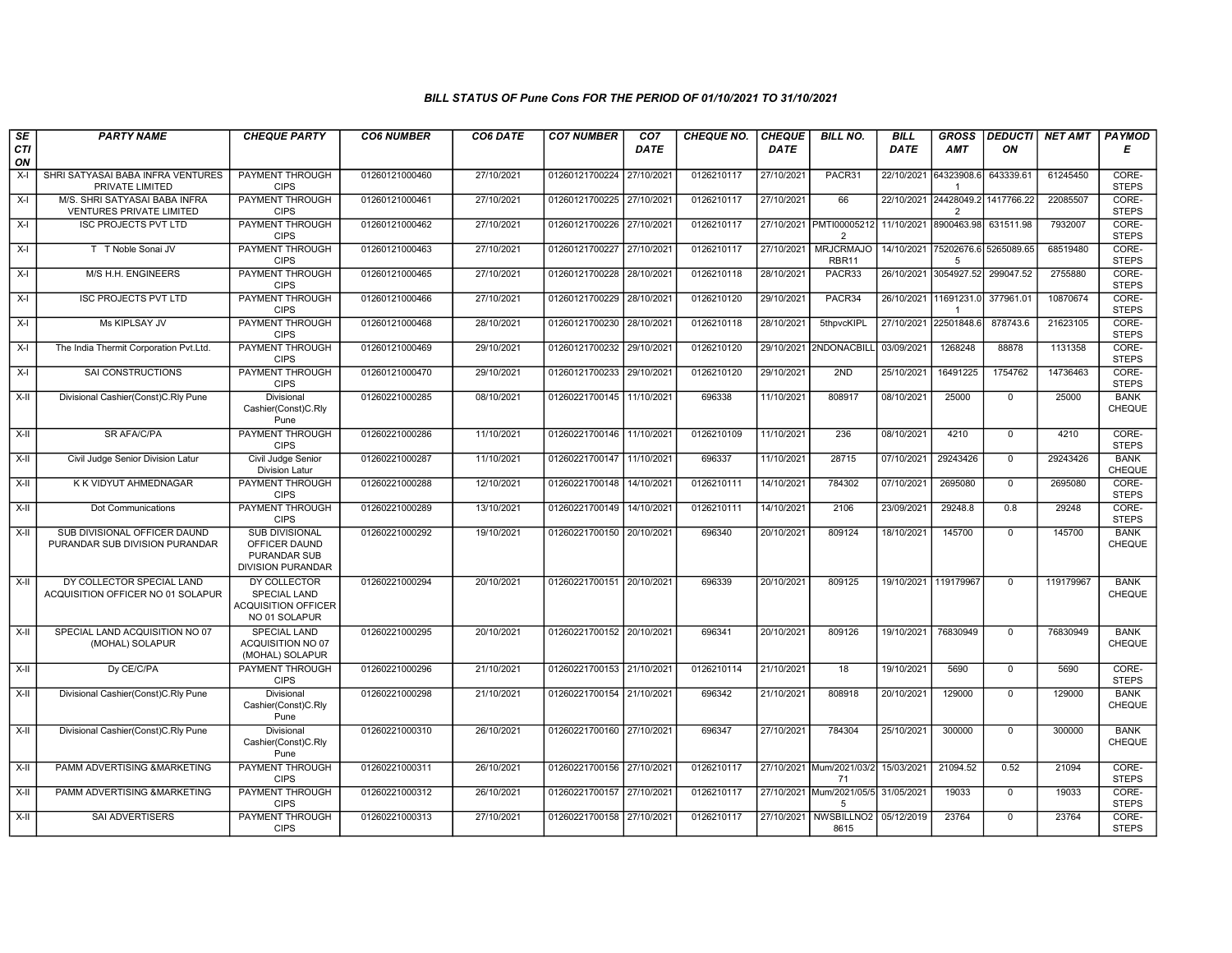## BILL STATUS OF Pune Cons FOR THE PERIOD OF 01/10/2021 TO 31/10/2021

| SE        | <b>PARTY NAME</b>                                                | <b>CHEQUE PARTY</b>                                                                       | <b>CO6 NUMBER</b> | CO6 DATE   | <b>CO7 NUMBER</b>         | CO <sub>7</sub> | <b>CHEQUE NO.</b> | <b>CHEQUE</b> | <b>BILL NO.</b>                                                 | <b>BILL</b>           | <b>GROSS</b>                           | <b>DEDUCTI</b> | NET AMT   | <b>PAYMOD</b>                |
|-----------|------------------------------------------------------------------|-------------------------------------------------------------------------------------------|-------------------|------------|---------------------------|-----------------|-------------------|---------------|-----------------------------------------------------------------|-----------------------|----------------------------------------|----------------|-----------|------------------------------|
| CTI<br>ON |                                                                  |                                                                                           |                   |            |                           | <b>DATE</b>     |                   | <b>DATE</b>   |                                                                 | <b>DATE</b>           | <b>AMT</b>                             | ΟN             |           | Е                            |
| $X-I$     | SHRI SATYASAI BABA INFRA VENTURES<br>PRIVATE LIMITED             | <b>PAYMENT THROUGH</b><br><b>CIPS</b>                                                     | 01260121000460    | 27/10/2021 | 01260121700224 27/10/2021 |                 | 0126210117        | 27/10/2021    | PACR31                                                          | 22/10/2021            | 64323908.6<br>-1                       | 643339.61      | 61245450  | CORE-<br><b>STEPS</b>        |
| $X-I$     | M/S. SHRI SATYASAI BABA INFRA<br><b>VENTURES PRIVATE LIMITED</b> | <b>PAYMENT THROUGH</b><br><b>CIPS</b>                                                     | 01260121000461    | 27/10/2021 | 01260121700225 27/10/2021 |                 | 0126210117        | 27/10/2021    | 66                                                              |                       | 22/10/2021 24428049.2<br>$\mathcal{P}$ | 1417766.22     | 22085507  | CORE-<br><b>STEPS</b>        |
| $X-I$     | <b>ISC PROJECTS PVT LTD</b>                                      | PAYMENT THROUGH<br><b>CIPS</b>                                                            | 01260121000462    | 27/10/2021 | 01260121700226 27/10/2021 |                 | 0126210117        |               | 27/10/2021 PMTI00005212 11/10/2021 8900463.98<br>$\overline{2}$ |                       |                                        | 631511.98      | 7932007   | CORE-<br><b>STEPS</b>        |
| $X-I$     | T T Noble Sonai JV                                               | <b>PAYMENT THROUGH</b><br><b>CIPS</b>                                                     | 01260121000463    | 27/10/2021 | 01260121700227 27/10/2021 |                 | 0126210117        | 27/10/2021    | <b>MRJCRMAJO</b><br>RBR11                                       | 14/10/2021            | 75202676.6<br>5                        | 5265089.65     | 68519480  | CORE-<br><b>STEPS</b>        |
| $X-I$     | M/S H.H. ENGINEERS                                               | PAYMENT THROUGH<br><b>CIPS</b>                                                            | 01260121000465    | 27/10/2021 | 01260121700228 28/10/2021 |                 | 0126210118        | 28/10/2021    | PACR33                                                          |                       | 26/10/2021 3054927.52                  | 299047.52      | 2755880   | CORE-<br><b>STEPS</b>        |
| $X-I$     | <b>ISC PROJECTS PVT LTD</b>                                      | <b>PAYMENT THROUGH</b><br><b>CIPS</b>                                                     | 01260121000466    | 27/10/2021 | 01260121700229 28/10/2021 |                 | 0126210120        | 29/10/2021    | PACR34                                                          | 26/10/2021 11691231.0 | $\mathbf{1}$                           | 377961.01      | 10870674  | CORE-<br><b>STEPS</b>        |
| $X-I$     | Ms KIPLSAY JV                                                    | PAYMENT THROUGH<br><b>CIPS</b>                                                            | 01260121000468    | 28/10/2021 | 01260121700230 28/10/2021 |                 | 0126210118        | 28/10/2021    | 5thpvcKIPL                                                      | 27/10/2021            | 22501848.                              | 878743.6       | 21623105  | CORE-<br><b>STEPS</b>        |
| $X-I$     | The India Thermit Corporation Pvt.Ltd.                           | <b>PAYMENT THROUGH</b><br><b>CIPS</b>                                                     | 01260121000469    | 29/10/2021 | 01260121700232 29/10/2021 |                 | 0126210120        |               | 29/10/2021 2NDONACBILL                                          | 03/09/2021            | 1268248                                | 88878          | 1131358   | CORE-<br><b>STEPS</b>        |
| $X-I$     | <b>SAI CONSTRUCTIONS</b>                                         | PAYMENT THROUGH<br><b>CIPS</b>                                                            | 01260121000470    | 29/10/2021 | 01260121700233 29/10/2021 |                 | 0126210120        | 29/10/2021    | 2ND                                                             | 25/10/2021            | 16491225                               | 1754762        | 14736463  | CORE-<br><b>STEPS</b>        |
| $X-H$     | Divisional Cashier(Const)C.Rly Pune                              | Divisional<br>Cashier(Const)C.Rly<br>Pune                                                 | 01260221000285    | 08/10/2021 | 01260221700145 11/10/2021 |                 | 696338            | 11/10/2021    | 808917                                                          | 08/10/2021            | 25000                                  | $\mathsf{O}$   | 25000     | <b>BANK</b><br>CHEQUE        |
| $X-H$     | <b>SR AFA/C/PA</b>                                               | <b>PAYMENT THROUGH</b><br><b>CIPS</b>                                                     | 01260221000286    | 11/10/2021 | 01260221700146 11/10/2021 |                 | 0126210109        | 11/10/2021    | 236                                                             | 08/10/2021            | 4210                                   | $\overline{0}$ | 4210      | CORE-<br><b>STEPS</b>        |
| X-II      | Civil Judge Senior Division Latur                                | Civil Judge Senior<br><b>Division Latur</b>                                               | 01260221000287    | 11/10/2021 | 01260221700147 11/10/2021 |                 | 696337            | 11/10/2021    | 28715                                                           | 07/10/2021            | 29243426                               | $\mathbf 0$    | 29243426  | <b>BANK</b><br><b>CHEQUE</b> |
| $X-II$    | K K VIDYUT AHMEDNAGAR                                            | PAYMENT THROUGH<br><b>CIPS</b>                                                            | 01260221000288    | 12/10/2021 | 01260221700148 14/10/2021 |                 | 0126210111        | 14/10/2021    | 784302                                                          | 07/10/2021            | 2695080                                | $\mathbf 0$    | 2695080   | CORE-<br><b>STEPS</b>        |
| X-II      | Dot Communications                                               | PAYMENT THROUGH<br><b>CIPS</b>                                                            | 01260221000289    | 13/10/2021 | 01260221700149 14/10/2021 |                 | 0126210111        | 14/10/2021    | 2106                                                            | 23/09/2021            | 29248.8                                | 0.8            | 29248     | CORE-<br><b>STEPS</b>        |
| X-II      | SUB DIVISIONAL OFFICER DAUND<br>PURANDAR SUB DIVISION PURANDAR   | <b>SUB DIVISIONAL</b><br>OFFICER DAUND<br><b>PURANDAR SUB</b><br><b>DIVISION PURANDAR</b> | 01260221000292    | 19/10/2021 | 01260221700150 20/10/2021 |                 | 696340            | 20/10/2021    | 809124                                                          | 18/10/2021            | 145700                                 | $\overline{0}$ | 145700    | <b>BANK</b><br><b>CHEQUE</b> |
| X-II      | DY COLLECTOR SPECIAL LAND<br>ACQUISITION OFFICER NO 01 SOLAPUR   | DY COLLECTOR<br><b>SPECIAL LAND</b><br><b>ACQUISITION OFFICER</b><br>NO 01 SOLAPUR        | 01260221000294    | 20/10/2021 | 01260221700151 20/10/2021 |                 | 696339            | 20/10/2021    | 809125                                                          | 19/10/2021 119179967  |                                        | $\mathbf 0$    | 119179967 | <b>BANK</b><br>CHEQUE        |
| X-II      | SPECIAL LAND ACQUISITION NO 07<br>(MOHAL) SOLAPUR                | <b>SPECIAL LAND</b><br>ACQUISITION NO 07<br>(MOHAL) SOLAPUR                               | 01260221000295    | 20/10/2021 | 01260221700152 20/10/2021 |                 | 696341            | 20/10/2021    | 809126                                                          | 19/10/2021            | 76830949                               | $\mathbf 0$    | 76830949  | <b>BANK</b><br><b>CHEQUE</b> |
| X-II      | Dy CE/C/PA                                                       | PAYMENT THROUGH<br><b>CIPS</b>                                                            | 01260221000296    | 21/10/2021 | 01260221700153 21/10/2021 |                 | 0126210114        | 21/10/2021    | $\overline{18}$                                                 | 19/10/2021            | 5690                                   | $\mathbf 0$    | 5690      | CORE-<br><b>STEPS</b>        |
| X-II      | Divisional Cashier(Const)C.Rly Pune                              | Divisional<br>Cashier(Const)C.Rly<br>Pune                                                 | 01260221000298    | 21/10/2021 | 01260221700154 21/10/2021 |                 | 696342            | 21/10/2021    | 808918                                                          | 20/10/2021            | 129000                                 | $\mathsf{O}$   | 129000    | <b>BANK</b><br><b>CHEQUE</b> |
| X-II      | Divisional Cashier(Const)C.Rly Pune                              | Divisional<br>Cashier(Const)C.Rly<br>Pune                                                 | 01260221000310    | 26/10/2021 | 01260221700160 27/10/2021 |                 | 696347            | 27/10/2021    | 784304                                                          | 25/10/2021            | 300000                                 | $\Omega$       | 300000    | <b>BANK</b><br><b>CHEQUE</b> |
| $X-H$     | PAMM ADVERTISING &MARKETING                                      | PAYMENT THROUGH<br><b>CIPS</b>                                                            | 01260221000311    | 26/10/2021 | 01260221700156 27/10/2021 |                 | 0126210117        |               | 27/10/2021 Mum/2021/03/2 15/03/2021<br>71                       |                       | 21094.52                               | 0.52           | 21094     | CORE-<br><b>STEPS</b>        |
| X-II      | PAMM ADVERTISING &MARKETING                                      | <b>PAYMENT THROUGH</b><br><b>CIPS</b>                                                     | 01260221000312    | 26/10/2021 | 01260221700157 27/10/2021 |                 | 0126210117        |               | 27/10/2021 Mum/2021/05/5 31/05/2021<br>5                        |                       | 19033                                  | $\mathbf 0$    | 19033     | CORE-<br><b>STEPS</b>        |
| X-II      | SAI ADVERTISERS                                                  | <b>PAYMENT THROUGH</b><br><b>CIPS</b>                                                     | 01260221000313    | 27/10/2021 | 01260221700158 27/10/2021 |                 | 0126210117        |               | 27/10/2021 NWSBILLNO2 05/12/2019<br>8615                        |                       | 23764                                  | $\mathbf 0$    | 23764     | CORE-<br><b>STEPS</b>        |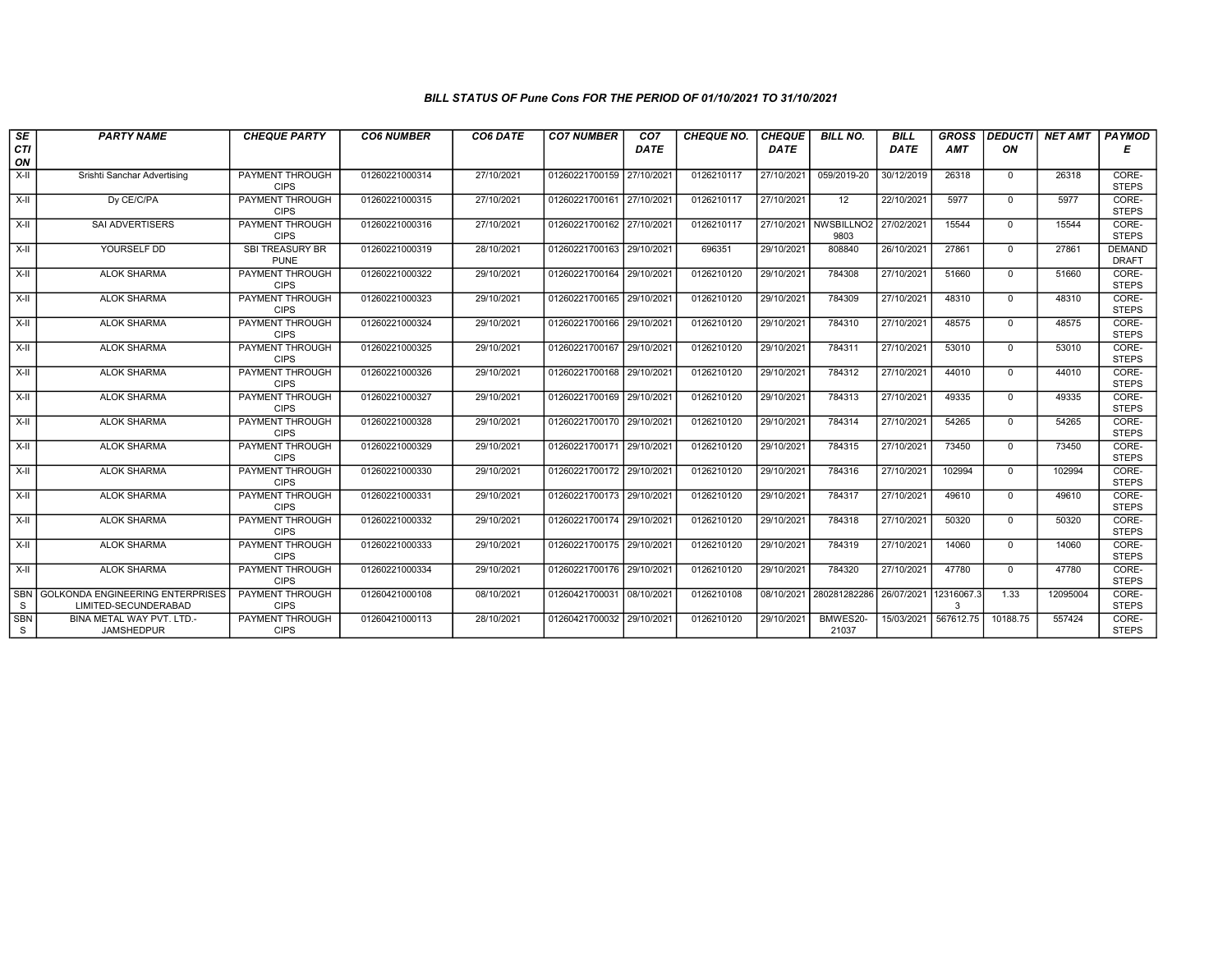## BILL STATUS OF Pune Cons FOR THE PERIOD OF 01/10/2021 TO 31/10/2021

| SE<br>CTI       | <b>PARTY NAME</b>                                               | <b>CHEQUE PARTY</b>                   | <b>CO6 NUMBER</b> | CO6 DATE   | <b>CO7 NUMBER</b>         | CO <sub>7</sub><br>DATE | <b>CHEQUE NO.</b> | <b>CHEQUE</b><br>DATE | <b>BILL NO.</b>                | <b>BILL</b><br>DATE  | <b>GROSS</b><br>AMT | <b>DEDUCTI</b><br>ON | <b>NET AMT FAYMOD</b> | Е                             |
|-----------------|-----------------------------------------------------------------|---------------------------------------|-------------------|------------|---------------------------|-------------------------|-------------------|-----------------------|--------------------------------|----------------------|---------------------|----------------------|-----------------------|-------------------------------|
| ON              |                                                                 |                                       |                   |            |                           |                         |                   |                       |                                |                      |                     |                      |                       |                               |
| $X-H$           | Srishti Sanchar Advertising                                     | <b>PAYMENT THROUGH</b><br><b>CIPS</b> | 01260221000314    | 27/10/2021 | 01260221700159            | 27/10/2021              | 0126210117        | 27/10/2021            | 059/2019-20                    | 30/12/2019           | 26318               | $\mathbf{0}$         | 26318                 | CORE-<br><b>STEPS</b>         |
| $X-H$           | Dy CE/C/PA                                                      | <b>PAYMENT THROUGH</b><br><b>CIPS</b> | 01260221000315    | 27/10/2021 | 01260221700161 27/10/2021 |                         | 0126210117        | 27/10/2021            | 12                             | 22/10/2021           | 5977                | $\mathbf{0}$         | 5977                  | CORE-<br><b>STEPS</b>         |
| X-II            | SAI ADVERTISERS                                                 | PAYMENT THROUGH<br><b>CIPS</b>        | 01260221000316    | 27/10/2021 | 01260221700162 27/10/2021 |                         | 0126210117        | 27/10/2021            | NWSBILLNO <sub>2</sub><br>9803 | 27/02/2021           | 15544               | $\Omega$             | 15544                 | CORE-<br><b>STEPS</b>         |
| $X-II$          | YOURSELF DD                                                     | <b>SBI TREASURY BR</b><br><b>PUNE</b> | 01260221000319    | 28/10/2021 | 01260221700163 29/10/2021 |                         | 696351            | 29/10/2021            | 808840                         | 26/10/2021           | 27861               | $\mathbf{0}$         | 27861                 | <b>DEMAND</b><br><b>DRAFT</b> |
| $X-H$           | <b>ALOK SHARMA</b>                                              | <b>PAYMENT THROUGH</b><br><b>CIPS</b> | 01260221000322    | 29/10/2021 | 01260221700164            | 29/10/2021              | 0126210120        | 29/10/2021            | 784308                         | 27/10/2021           | 51660               | $\Omega$             | 51660                 | CORE-<br><b>STEPS</b>         |
| $X-H$           | <b>ALOK SHARMA</b>                                              | <b>PAYMENT THROUGH</b><br><b>CIPS</b> | 01260221000323    | 29/10/2021 | 01260221700165 29/10/2021 |                         | 0126210120        | 29/10/2021            | 784309                         | 27/10/2021           | 48310               | $\mathbf{0}$         | 48310                 | CORE-<br><b>STEPS</b>         |
| X-II            | <b>ALOK SHARMA</b>                                              | PAYMENT THROUGH<br><b>CIPS</b>        | 01260221000324    | 29/10/2021 | 01260221700166            | 29/10/2021              | 0126210120        | 29/10/2021            | 784310                         | 27/10/2021           | 48575               | $\Omega$             | 48575                 | CORE-<br><b>STEPS</b>         |
| $X-II$          | <b>ALOK SHARMA</b>                                              | <b>PAYMENT THROUGH</b><br><b>CIPS</b> | 01260221000325    | 29/10/2021 | 01260221700167            | 29/10/2021              | 0126210120        | 29/10/2021            | 784311                         | 27/10/2021           | 53010               | $\mathbf{0}$         | 53010                 | CORE-<br><b>STEPS</b>         |
| X-II            | <b>ALOK SHARMA</b>                                              | <b>PAYMENT THROUGH</b><br><b>CIPS</b> | 01260221000326    | 29/10/2021 | 01260221700168 29/10/2021 |                         | 0126210120        | 29/10/2021            | 784312                         | 27/10/2021           | 44010               | $\Omega$             | 44010                 | CORE-<br><b>STEPS</b>         |
| $X-H$           | <b>ALOK SHARMA</b>                                              | <b>PAYMENT THROUGH</b><br><b>CIPS</b> | 01260221000327    | 29/10/2021 | 01260221700169 29/10/2021 |                         | 0126210120        | 29/10/2021            | 784313                         | 27/10/2021           | 49335               | $\Omega$             | 49335                 | CORE-<br><b>STEPS</b>         |
| X-II            | <b>ALOK SHARMA</b>                                              | PAYMENT THROUGH<br><b>CIPS</b>        | 01260221000328    | 29/10/2021 | 01260221700170 29/10/2021 |                         | 0126210120        | 29/10/2021            | 784314                         | 27/10/2021           | 54265               | $\mathbf{0}$         | 54265                 | CORE-<br><b>STEPS</b>         |
| $X-H$           | <b>ALOK SHARMA</b>                                              | PAYMENT THROUGH<br><b>CIPS</b>        | 01260221000329    | 29/10/2021 | 01260221700171 29/10/2021 |                         | 0126210120        | 29/10/2021            | 784315                         | 27/10/2021           | 73450               | $\mathbf 0$          | 73450                 | CORE-<br><b>STEPS</b>         |
| $X-H$           | <b>ALOK SHARMA</b>                                              | <b>PAYMENT THROUGH</b><br><b>CIPS</b> | 01260221000330    | 29/10/2021 | 01260221700172 29/10/2021 |                         | 0126210120        | 29/10/2021            | 784316                         | 27/10/2021           | 102994              | $\Omega$             | 102994                | CORE-<br><b>STEPS</b>         |
| X-II            | <b>ALOK SHARMA</b>                                              | <b>PAYMENT THROUGH</b><br><b>CIPS</b> | 01260221000331    | 29/10/2021 | 01260221700173 29/10/2021 |                         | 0126210120        | 29/10/2021            | 784317                         | 27/10/2021           | 49610               | $\Omega$             | 49610                 | CORE-<br><b>STEPS</b>         |
| X-II            | <b>ALOK SHARMA</b>                                              | PAYMENT THROUGH<br><b>CIPS</b>        | 01260221000332    | 29/10/2021 | 01260221700174 29/10/2021 |                         | 0126210120        | 29/10/2021            | 784318                         | 27/10/2021           | 50320               | $\Omega$             | 50320                 | CORE-<br><b>STEPS</b>         |
| $X-II$          | <b>ALOK SHARMA</b>                                              | PAYMENT THROUGH<br><b>CIPS</b>        | 01260221000333    | 29/10/2021 | 01260221700175 29/10/2021 |                         | 0126210120        | 29/10/2021            | 784319                         | 27/10/2021           | 14060               | $\mathbf{0}$         | 14060                 | CORE-<br><b>STEPS</b>         |
| $X-H$           | <b>ALOK SHARMA</b>                                              | <b>PAYMENT THROUGH</b><br><b>CIPS</b> | 01260221000334    | 29/10/2021 | 01260221700176 29/10/2021 |                         | 0126210120        | 29/10/2021            | 784320                         | 27/10/2021           | 47780               | $\Omega$             | 47780                 | CORE-<br><b>STEPS</b>         |
| <b>SBN</b><br>S | <b>GOLKONDA ENGINEERING ENTERPRISES</b><br>LIMITED-SECUNDERABAD | <b>PAYMENT THROUGH</b><br><b>CIPS</b> | 01260421000108    | 08/10/2021 | 01260421700031            | 08/10/2021              | 0126210108        | 08/10/2021            | 280281282286                   | 26/07/2021 12316067. | 3                   | 1.33                 | 12095004              | CORE-<br><b>STEPS</b>         |
| <b>SBN</b><br>S | BINA METAL WAY PVT. LTD.-<br><b>JAMSHEDPUR</b>                  | PAYMENT THROUGH<br><b>CIPS</b>        | 01260421000113    | 28/10/2021 | 01260421700032 29/10/2021 |                         | 0126210120        | 29/10/2021            | BMWES20-<br>21037              | 15/03/2021 567612.75 |                     | 10188.75             | 557424                | CORE-<br><b>STEPS</b>         |